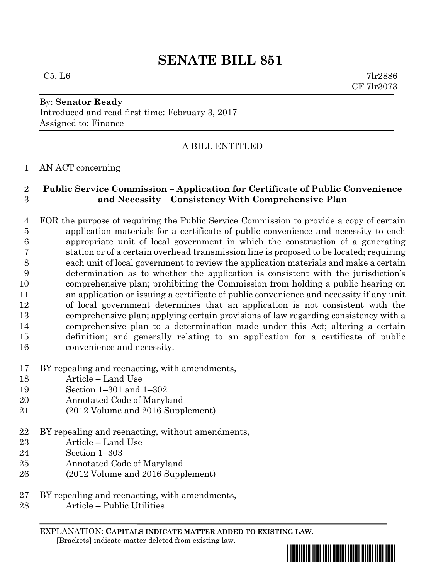# **SENATE BILL 851**

 $C5, L6$  7lr2886 CF 7lr3073

#### By: **Senator Ready** Introduced and read first time: February 3, 2017

Assigned to: Finance

# A BILL ENTITLED

## AN ACT concerning

### **Public Service Commission – Application for Certificate of Public Convenience and Necessity – Consistency With Comprehensive Plan**

 FOR the purpose of requiring the Public Service Commission to provide a copy of certain application materials for a certificate of public convenience and necessity to each appropriate unit of local government in which the construction of a generating station or of a certain overhead transmission line is proposed to be located; requiring each unit of local government to review the application materials and make a certain determination as to whether the application is consistent with the jurisdiction's comprehensive plan; prohibiting the Commission from holding a public hearing on an application or issuing a certificate of public convenience and necessity if any unit of local government determines that an application is not consistent with the comprehensive plan; applying certain provisions of law regarding consistency with a comprehensive plan to a determination made under this Act; altering a certain definition; and generally relating to an application for a certificate of public convenience and necessity.

- BY repealing and reenacting, with amendments,
- Article Land Use
- Section 1–301 and 1–302
- Annotated Code of Maryland
- (2012 Volume and 2016 Supplement)
- BY repealing and reenacting, without amendments,
- Article Land Use
- Section 1–303
- Annotated Code of Maryland
- (2012 Volume and 2016 Supplement)
- BY repealing and reenacting, with amendments,
- Article Public Utilities

EXPLANATION: **CAPITALS INDICATE MATTER ADDED TO EXISTING LAW**.  **[**Brackets**]** indicate matter deleted from existing law.

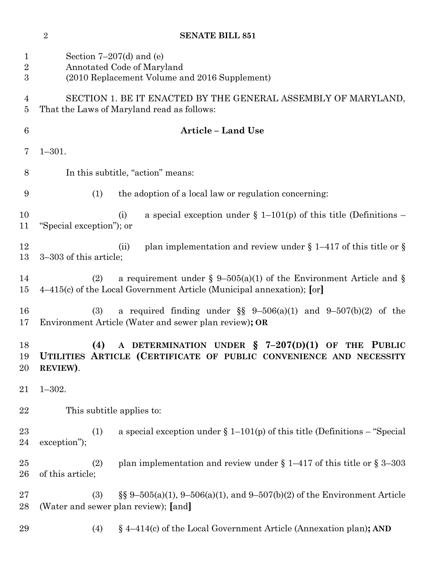**SENATE BILL 851**

| $\mathbf 1$<br>$\overline{2}$<br>$\boldsymbol{3}$ | Section $7-207(d)$ and (e)<br>Annotated Code of Maryland<br>(2010 Replacement Volume and 2016 Supplement)                                              |
|---------------------------------------------------|--------------------------------------------------------------------------------------------------------------------------------------------------------|
| 4<br>5                                            | SECTION 1. BE IT ENACTED BY THE GENERAL ASSEMBLY OF MARYLAND,<br>That the Laws of Maryland read as follows:                                            |
| 6                                                 | <b>Article - Land Use</b>                                                                                                                              |
| 7                                                 | $1 - 301.$                                                                                                                                             |
| 8                                                 | In this subtitle, "action" means:                                                                                                                      |
| 9                                                 | (1)<br>the adoption of a local law or regulation concerning:                                                                                           |
| 10<br>11                                          | a special exception under $\S 1-101(p)$ of this title (Definitions –<br>(i)<br>"Special exception"); or                                                |
| 12<br>13                                          | plan implementation and review under $\S$ 1–417 of this title or $\S$<br>(ii)<br>3–303 of this article;                                                |
| 14<br>15                                          | a requirement under § 9–505(a)(1) of the Environment Article and §<br>(2)<br>4–415(c) of the Local Government Article (Municipal annexation); [or]     |
| 16<br>17                                          | a required finding under $\S$ 9-506(a)(1) and 9-507(b)(2) of the<br>(3)<br>Environment Article (Water and sewer plan review); OR                       |
| 18<br>19<br>20                                    | A DETERMINATION UNDER $\frac{1}{2}$ 7-207(D)(1) OF THE PUBLIC<br>(4)<br>UTILITIES ARTICLE (CERTIFICATE OF PUBLIC CONVENIENCE AND NECESSITY<br>REVIEW). |
| 21                                                | $1 - 302.$                                                                                                                                             |
| 22                                                | This subtitle applies to:                                                                                                                              |
| 23<br>24                                          | a special exception under $\S 1-101(p)$ of this title (Definitions – "Special<br>(1)<br>exception");                                                   |
| 25<br>26                                          | plan implementation and review under $\S 1-417$ of this title or $\S 3-303$<br>(2)<br>of this article;                                                 |
| $27\,$<br>28                                      | $\S\S 9-505(a)(1), 9-506(a)(1),$ and $9-507(b)(2)$ of the Environment Article<br>(3)<br>(Water and sewer plan review); [and]                           |
| 29                                                | $\S$ 4–414(c) of the Local Government Article (Annexation plan); AND<br>(4)                                                                            |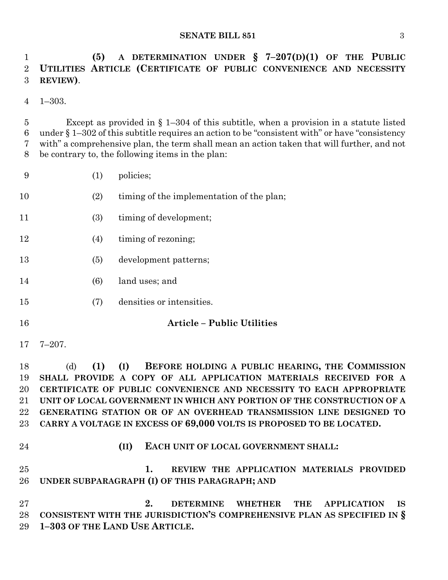#### **SENATE BILL 851** 3

 **(5) A DETERMINATION UNDER § 7–207(D)(1) OF THE PUBLIC UTILITIES ARTICLE (CERTIFICATE OF PUBLIC CONVENIENCE AND NECESSITY REVIEW)**.

1–303.

 Except as provided in § 1–304 of this subtitle, when a provision in a statute listed under § 1–302 of this subtitle requires an action to be "consistent with" or have "consistency with" a comprehensive plan, the term shall mean an action taken that will further, and not be contrary to, the following items in the plan:

- (1) policies;
- (2) timing of the implementation of the plan;
- 11 (3) timing of development;
- 12 (4) timing of rezoning;
- (5) development patterns;
- (6) land uses; and
- (7) densities or intensities.
- 

#### **Article – Public Utilities**

7–207.

 (d) **(1) (I) BEFORE HOLDING A PUBLIC HEARING, THE COMMISSION SHALL PROVIDE A COPY OF ALL APPLICATION MATERIALS RECEIVED FOR A CERTIFICATE OF PUBLIC CONVENIENCE AND NECESSITY TO EACH APPROPRIATE UNIT OF LOCAL GOVERNMENT IN WHICH ANY PORTION OF THE CONSTRUCTION OF A GENERATING STATION OR OF AN OVERHEAD TRANSMISSION LINE DESIGNED TO CARRY A VOLTAGE IN EXCESS OF 69,000 VOLTS IS PROPOSED TO BE LOCATED.**

**(II) EACH UNIT OF LOCAL GOVERNMENT SHALL:**

 **1. REVIEW THE APPLICATION MATERIALS PROVIDED UNDER SUBPARAGRAPH (I) OF THIS PARAGRAPH; AND**

 **2. DETERMINE WHETHER THE APPLICATION IS CONSISTENT WITH THE JURISDICTION'S COMPREHENSIVE PLAN AS SPECIFIED IN § 1–303 OF THE LAND USE ARTICLE.**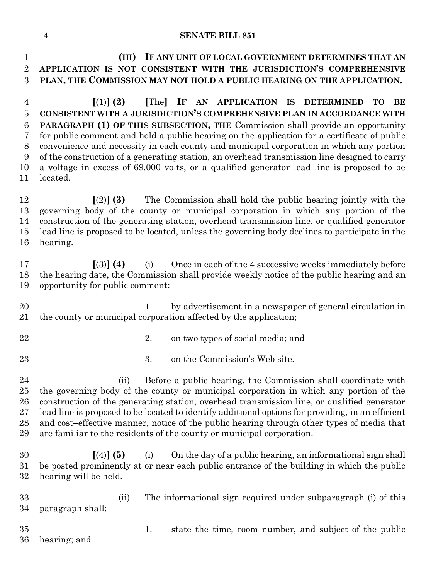#### **SENATE BILL 851**

 **(III) IF ANY UNIT OF LOCAL GOVERNMENT DETERMINES THAT AN APPLICATION IS NOT CONSISTENT WITH THE JURISDICTION'S COMPREHENSIVE PLAN, THE COMMISSION MAY NOT HOLD A PUBLIC HEARING ON THE APPLICATION. [**(1)**] (2) [**The**] IF AN APPLICATION IS DETERMINED TO BE CONSISTENT WITH A JURISDICTION'S COMPREHENSIVE PLAN IN ACCORDANCE WITH PARAGRAPH (1) OF THIS SUBSECTION, THE** Commission shall provide an opportunity for public comment and hold a public hearing on the application for a certificate of public

 of the construction of a generating station, an overhead transmission line designed to carry a voltage in excess of 69,000 volts, or a qualified generator lead line is proposed to be located.

convenience and necessity in each county and municipal corporation in which any portion

 **[**(2)**] (3)** The Commission shall hold the public hearing jointly with the governing body of the county or municipal corporation in which any portion of the construction of the generating station, overhead transmission line, or qualified generator lead line is proposed to be located, unless the governing body declines to participate in the hearing.

 **[**(3)**] (4)** (i) Once in each of the 4 successive weeks immediately before the hearing date, the Commission shall provide weekly notice of the public hearing and an opportunity for public comment:

20 1. by advertisement in a newspaper of general circulation in the county or municipal corporation affected by the application;

2. on two types of social media; and

3. on the Commission's Web site.

 (ii) Before a public hearing, the Commission shall coordinate with the governing body of the county or municipal corporation in which any portion of the construction of the generating station, overhead transmission line, or qualified generator lead line is proposed to be located to identify additional options for providing, in an efficient and cost–effective manner, notice of the public hearing through other types of media that are familiar to the residents of the county or municipal corporation.

 **[**(4)**] (5)** (i) On the day of a public hearing, an informational sign shall be posted prominently at or near each public entrance of the building in which the public hearing will be held.

 (ii) The informational sign required under subparagraph (i) of this paragraph shall:

 1. state the time, room number, and subject of the public hearing; and